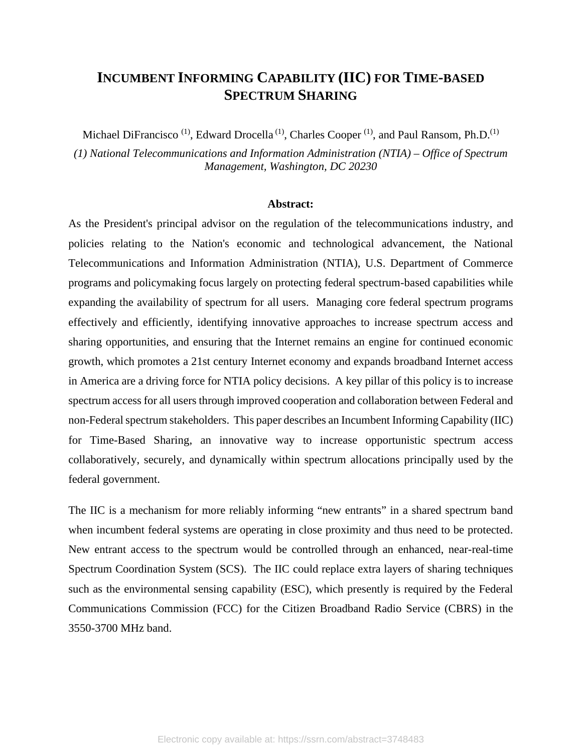# **INCUMBENT INFORMING CAPABILITY (IIC) FOR TIME-BASED SPECTRUM SHARING**

Michael DiFrancisco<sup>(1)</sup>, Edward Drocella<sup>(1)</sup>, Charles Cooper<sup>(1)</sup>, and Paul Ransom, Ph.D.<sup>(1)</sup>

*(1) National Telecommunications and Information Administration (NTIA) – Office of Spectrum Management, Washington, DC 20230*

#### **Abstract:**

As the President's principal advisor on the regulation of the telecommunications industry, and policies relating to the Nation's economic and technological advancement, the National Telecommunications and Information Administration (NTIA), U.S. Department of Commerce programs and policymaking focus largely on protecting federal spectrum-based capabilities while expanding the availability of spectrum for all users. Managing core federal spectrum programs effectively and efficiently, identifying innovative approaches to increase spectrum access and sharing opportunities, and ensuring that the Internet remains an engine for continued economic growth, which promotes a 21st century Internet economy and expands broadband Internet access in America are a driving force for NTIA policy decisions. A key pillar of this policy is to increase spectrum access for all users through improved cooperation and collaboration between Federal and non-Federal spectrum stakeholders. This paper describes an Incumbent Informing Capability (IIC) for Time-Based Sharing, an innovative way to increase opportunistic spectrum access collaboratively, securely, and dynamically within spectrum allocations principally used by the federal government.

The IIC is a mechanism for more reliably informing "new entrants" in a shared spectrum band when incumbent federal systems are operating in close proximity and thus need to be protected. New entrant access to the spectrum would be controlled through an enhanced, near-real-time Spectrum Coordination System (SCS). The IIC could replace extra layers of sharing techniques such as the environmental sensing capability (ESC), which presently is required by the Federal Communications Commission (FCC) for the Citizen Broadband Radio Service (CBRS) in the 3550-3700 MHz band.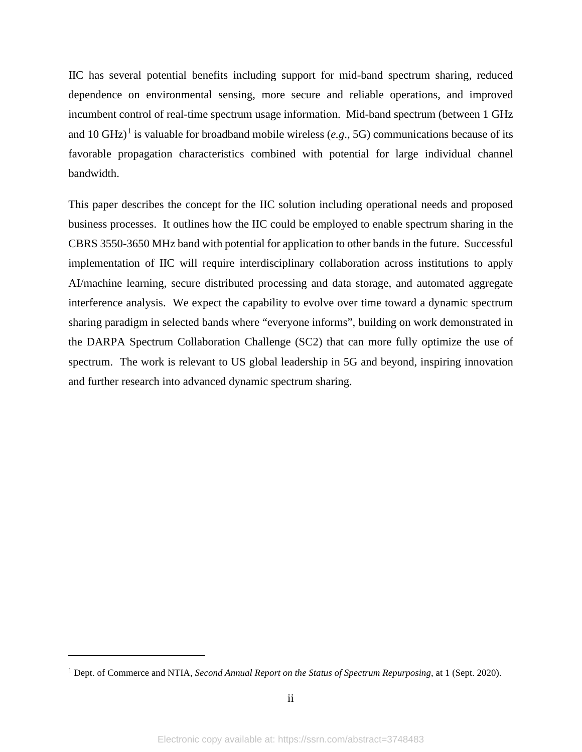IIC has several potential benefits including support for mid-band spectrum sharing, reduced dependence on environmental sensing, more secure and reliable operations, and improved incumbent control of real-time spectrum usage information. Mid-band spectrum (between 1 GHz and [1](#page-1-0)0 GHz)<sup>1</sup> is valuable for broadband mobile wireless (*e.g.*, 5G) communications because of its favorable propagation characteristics combined with potential for large individual channel bandwidth.

This paper describes the concept for the IIC solution including operational needs and proposed business processes. It outlines how the IIC could be employed to enable spectrum sharing in the CBRS 3550-3650 MHz band with potential for application to other bands in the future. Successful implementation of IIC will require interdisciplinary collaboration across institutions to apply AI/machine learning, secure distributed processing and data storage, and automated aggregate interference analysis. We expect the capability to evolve over time toward a dynamic spectrum sharing paradigm in selected bands where "everyone informs", building on work demonstrated in the DARPA Spectrum Collaboration Challenge (SC2) that can more fully optimize the use of spectrum. The work is relevant to US global leadership in 5G and beyond, inspiring innovation and further research into advanced dynamic spectrum sharing.

<span id="page-1-0"></span><sup>1</sup> Dept. of Commerce and NTIA, *Second Annual Report on the Status of Spectrum Repurposing*, at 1 (Sept. 2020).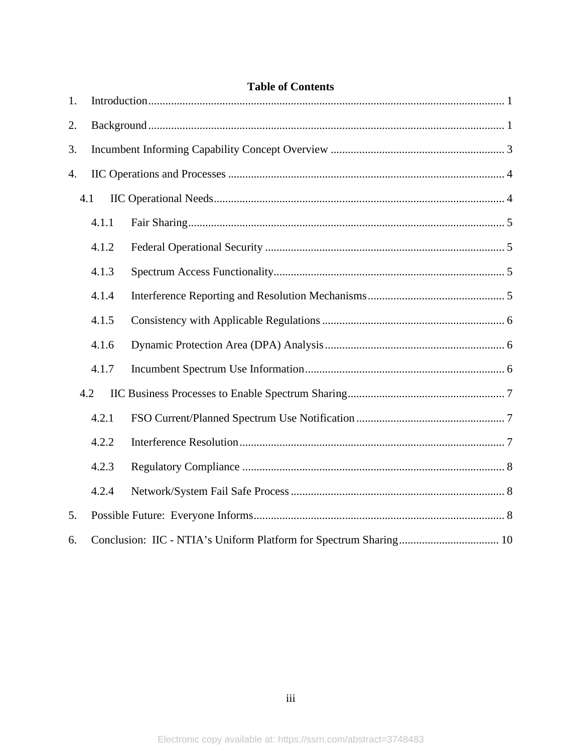| <b>Table of Contents</b> |       |  |  |
|--------------------------|-------|--|--|
| 1.                       |       |  |  |
| 2.                       |       |  |  |
| 3.                       |       |  |  |
| 4.                       |       |  |  |
| 4.1                      |       |  |  |
|                          | 4.1.1 |  |  |
|                          | 4.1.2 |  |  |
|                          | 4.1.3 |  |  |
|                          | 4.1.4 |  |  |
|                          | 4.1.5 |  |  |
|                          | 4.1.6 |  |  |
|                          | 4.1.7 |  |  |
| 4.2                      |       |  |  |
|                          | 4.2.1 |  |  |
|                          | 4.2.2 |  |  |
|                          | 4.2.3 |  |  |
|                          | 4.2.4 |  |  |
| 5.                       |       |  |  |
| 6.                       |       |  |  |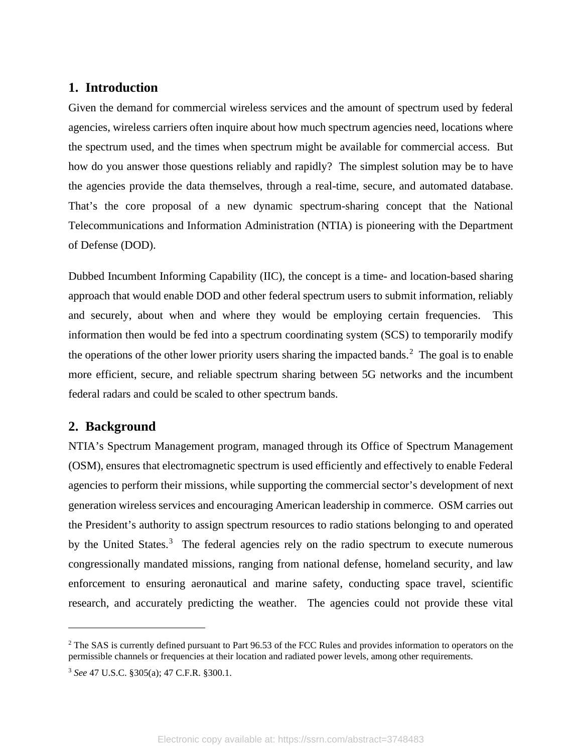# <span id="page-3-0"></span>**1. Introduction**

Given the demand for commercial wireless services and the amount of spectrum used by federal agencies, wireless carriers often inquire about how much spectrum agencies need, locations where the spectrum used, and the times when spectrum might be available for commercial access. But how do you answer those questions reliably and rapidly? The simplest solution may be to have the agencies provide the data themselves, through a real-time, secure, and automated database. That's the core proposal of a new dynamic spectrum-sharing concept that the National Telecommunications and Information Administration (NTIA) is pioneering with the Department of Defense (DOD).

Dubbed Incumbent Informing Capability (IIC), the concept is a time- and location-based sharing approach that would enable DOD and other federal spectrum users to submit information, reliably and securely, about when and where they would be employing certain frequencies. This information then would be fed into a spectrum coordinating system (SCS) to temporarily modify the operations of the other lower priority users sharing the impacted bands.<sup>[2](#page-3-2)</sup> The goal is to enable more efficient, secure, and reliable spectrum sharing between 5G networks and the incumbent federal radars and could be scaled to other spectrum bands.

# <span id="page-3-1"></span>**2. Background**

NTIA's Spectrum Management program, managed through its Office of Spectrum Management (OSM), ensures that electromagnetic spectrum is used efficiently and effectively to enable Federal agencies to perform their missions, while supporting the commercial sector's development of next generation wireless services and encouraging American leadership in commerce. OSM carries out the President's authority to assign spectrum resources to radio stations belonging to and operated by the United States.<sup>[3](#page-3-3)</sup> The federal agencies rely on the radio spectrum to execute numerous congressionally mandated missions, ranging from national defense, homeland security, and law enforcement to ensuring aeronautical and marine safety, conducting space travel, scientific research, and accurately predicting the weather. The agencies could not provide these vital

<span id="page-3-2"></span><sup>&</sup>lt;sup>2</sup> The SAS is currently defined pursuant to Part 96.53 of the FCC Rules and provides information to operators on the permissible channels or frequencies at their location and radiated power levels, among other requirements.

<span id="page-3-3"></span><sup>3</sup> *See* 47 U.S.C. §305(a); 47 C.F.R. §300.1.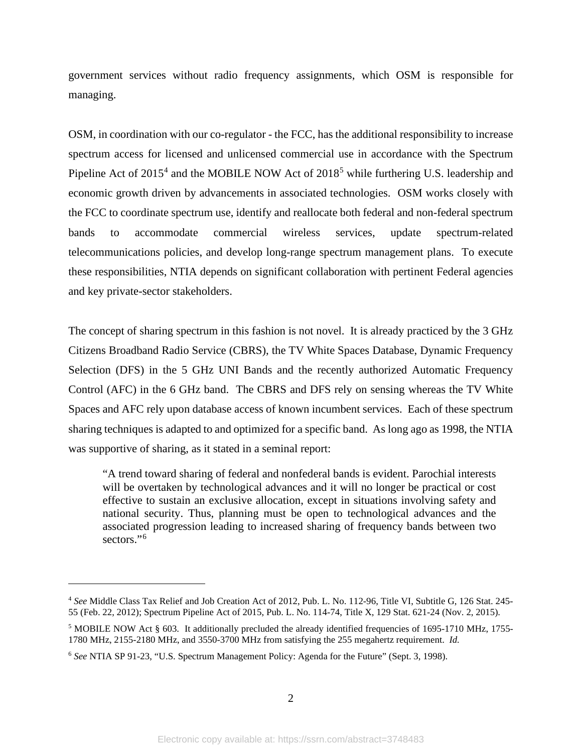government services without radio frequency assignments, which OSM is responsible for managing.

OSM, in coordination with our co-regulator - the FCC, has the additional responsibility to increase spectrum access for licensed and unlicensed commercial use in accordance with the Spectrum Pipeline Act of  $2015<sup>4</sup>$  $2015<sup>4</sup>$  $2015<sup>4</sup>$  and the MOBILE NOW Act of  $2018<sup>5</sup>$  $2018<sup>5</sup>$  $2018<sup>5</sup>$  while furthering U.S. leadership and economic growth driven by advancements in associated technologies. OSM works closely with the FCC to coordinate spectrum use, identify and reallocate both federal and non-federal spectrum bands to accommodate commercial wireless services, update spectrum-related telecommunications policies, and develop long-range spectrum management plans. To execute these responsibilities, NTIA depends on significant collaboration with pertinent Federal agencies and key private-sector stakeholders.

The concept of sharing spectrum in this fashion is not novel. It is already practiced by the 3 GHz Citizens Broadband Radio Service (CBRS), the TV White Spaces Database, Dynamic Frequency Selection (DFS) in the 5 GHz UNI Bands and the recently authorized Automatic Frequency Control (AFC) in the 6 GHz band. The CBRS and DFS rely on sensing whereas the TV White Spaces and AFC rely upon database access of known incumbent services. Each of these spectrum sharing techniques is adapted to and optimized for a specific band. As long ago as 1998, the NTIA was supportive of sharing, as it stated in a seminal report:

"A trend toward sharing of federal and nonfederal bands is evident. Parochial interests will be overtaken by technological advances and it will no longer be practical or cost effective to sustain an exclusive allocation, except in situations involving safety and national security. Thus, planning must be open to technological advances and the associated progression leading to increased sharing of frequency bands between two sectors."<sup>[6](#page-4-2)</sup>

<span id="page-4-0"></span><sup>4</sup> *See* Middle Class Tax Relief and Job Creation Act of 2012, Pub. L. No. 112-96, Title VI, Subtitle G, 126 Stat. 245- 55 (Feb. 22, 2012); Spectrum Pipeline Act of 2015, Pub. L. No. 114-74, Title X, 129 Stat. 621-24 (Nov. 2, 2015).

<span id="page-4-1"></span><sup>5</sup> MOBILE NOW Act § 603. It additionally precluded the already identified frequencies of 1695-1710 MHz, 1755- 1780 MHz, 2155-2180 MHz, and 3550-3700 MHz from satisfying the 255 megahertz requirement. *Id.*

<span id="page-4-2"></span><sup>6</sup> *See* NTIA SP 91-23, "U.S. Spectrum Management Policy: Agenda for the Future" (Sept. 3, 1998).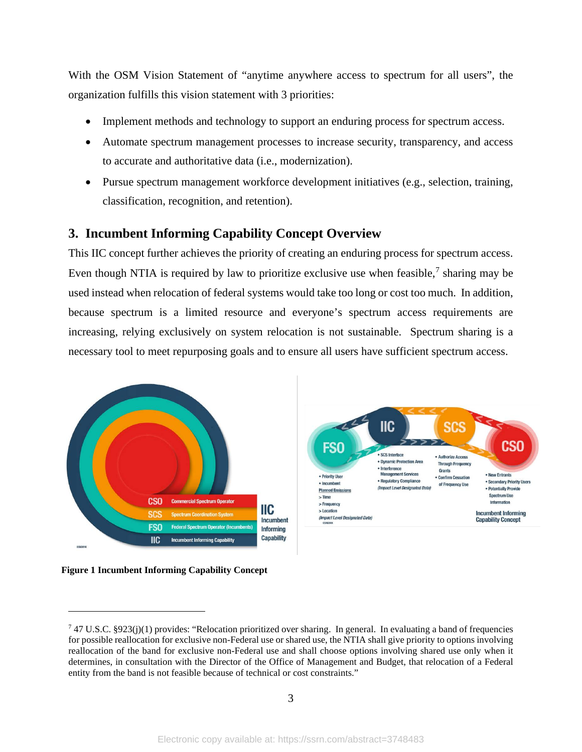With the OSM Vision Statement of "anytime anywhere access to spectrum for all users", the organization fulfills this vision statement with 3 priorities:

- Implement methods and technology to support an enduring process for spectrum access.
- Automate spectrum management processes to increase security, transparency, and access to accurate and authoritative data (i.e., modernization).
- Pursue spectrum management workforce development initiatives (e.g., selection, training, classification, recognition, and retention).

# <span id="page-5-0"></span>**3. Incumbent Informing Capability Concept Overview**

This IIC concept further achieves the priority of creating an enduring process for spectrum access. Even though NTIA is required by law to prioritize exclusive use when feasible,<sup>[7](#page-5-1)</sup> sharing may be used instead when relocation of federal systems would take too long or cost too much. In addition, because spectrum is a limited resource and everyone's spectrum access requirements are increasing, relying exclusively on system relocation is not sustainable. Spectrum sharing is a necessary tool to meet repurposing goals and to ensure all users have sufficient spectrum access.

**IIC** 

SCS Interface

Interference

Dynamic Protect

**Management Services** 

· Regulatory Compliance

(Impact Level Designated Data)

SCS

**Authorize Access** 

· Confirm Cessation

of Frequency Use

Grants

**Through Frequency** 

CSO

• New Entrants

· Potentially Provide

Spectrum Use

Information

**Incumbent Informing** 

**Capability Concept** 

· Secondary Priority Users



<span id="page-5-2"></span>

<span id="page-5-1"></span><sup>&</sup>lt;sup>7</sup> 47 U.S.C. §923(j)(1) provides: "Relocation prioritized over sharing. In general. In evaluating a band of frequencies for possible reallocation for exclusive non-Federal use or shared use, the NTIA shall give priority to options involving reallocation of the band for exclusive non-Federal use and shall choose options involving shared use only when it determines, in consultation with the Director of the Office of Management and Budget, that relocation of a Federal entity from the band is not feasible because of technical or cost constraints."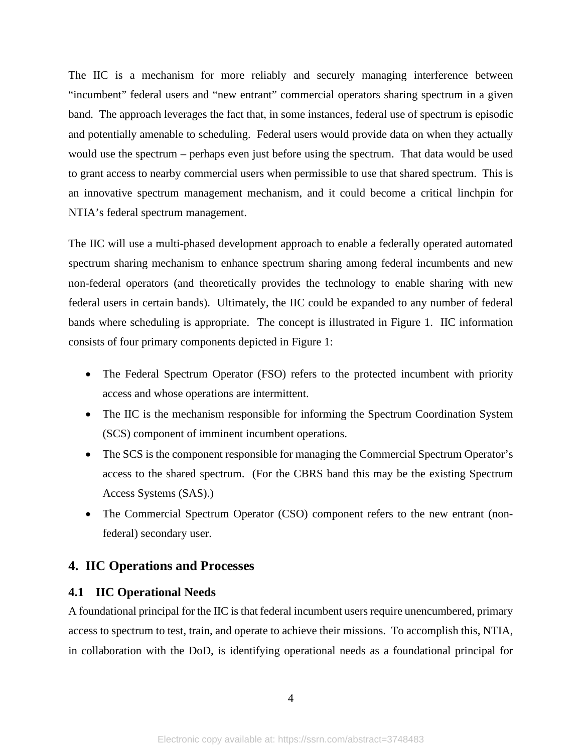The IIC is a mechanism for more reliably and securely managing interference between "incumbent" federal users and "new entrant" commercial operators sharing spectrum in a given band. The approach leverages the fact that, in some instances, federal use of spectrum is episodic and potentially amenable to scheduling. Federal users would provide data on when they actually would use the spectrum – perhaps even just before using the spectrum. That data would be used to grant access to nearby commercial users when permissible to use that shared spectrum. This is an innovative spectrum management mechanism, and it could become a critical linchpin for NTIA's federal spectrum management.

The IIC will use a multi-phased development approach to enable a federally operated automated spectrum sharing mechanism to enhance spectrum sharing among federal incumbents and new non-federal operators (and theoretically provides the technology to enable sharing with new federal users in certain bands). Ultimately, the IIC could be expanded to any number of federal bands where scheduling is appropriate. The concept is illustrated in [Figure 1.](#page-5-2) IIC information consists of four primary components depicted in [Figure 1:](#page-5-2)

- The Federal Spectrum Operator (FSO) refers to the protected incumbent with priority access and whose operations are intermittent.
- The IIC is the mechanism responsible for informing the Spectrum Coordination System (SCS) component of imminent incumbent operations.
- The SCS is the component responsible for managing the Commercial Spectrum Operator's access to the shared spectrum. (For the CBRS band this may be the existing Spectrum Access Systems (SAS).)
- The Commercial Spectrum Operator (CSO) component refers to the new entrant (nonfederal) secondary user.

### <span id="page-6-0"></span>**4. IIC Operations and Processes**

### <span id="page-6-1"></span>**4.1 IIC Operational Needs**

A foundational principal for the IIC is that federal incumbent users require unencumbered, primary access to spectrum to test, train, and operate to achieve their missions. To accomplish this, NTIA, in collaboration with the DoD, is identifying operational needs as a foundational principal for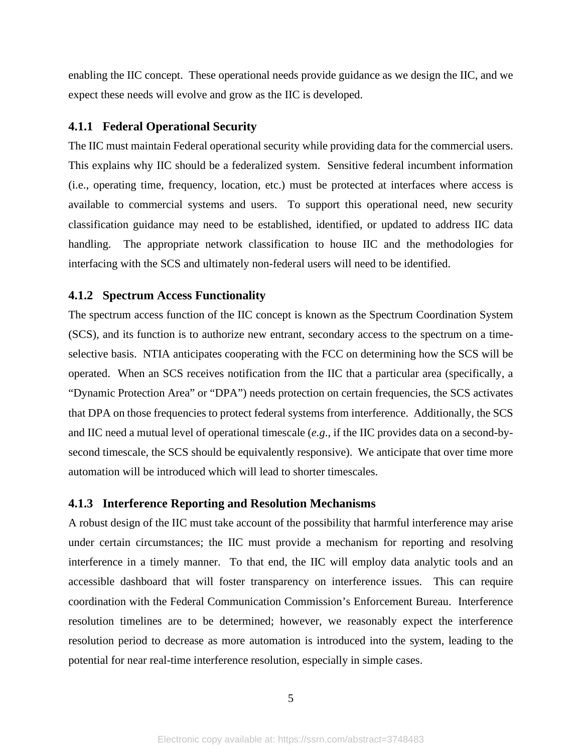enabling the IIC concept. These operational needs provide guidance as we design the IIC, and we expect these needs will evolve and grow as the IIC is developed.

#### <span id="page-7-0"></span>**4.1.1 Federal Operational Security**

The IIC must maintain Federal operational security while providing data for the commercial users. This explains why IIC should be a federalized system. Sensitive federal incumbent information (i.e., operating time, frequency, location, etc.) must be protected at interfaces where access is available to commercial systems and users. To support this operational need, new security classification guidance may need to be established, identified, or updated to address IIC data handling. The appropriate network classification to house IIC and the methodologies for interfacing with the SCS and ultimately non-federal users will need to be identified.

#### <span id="page-7-1"></span>**4.1.2 Spectrum Access Functionality**

The spectrum access function of the IIC concept is known as the Spectrum Coordination System (SCS), and its function is to authorize new entrant, secondary access to the spectrum on a timeselective basis. NTIA anticipates cooperating with the FCC on determining how the SCS will be operated. When an SCS receives notification from the IIC that a particular area (specifically, a "Dynamic Protection Area" or "DPA") needs protection on certain frequencies, the SCS activates that DPA on those frequencies to protect federal systems from interference. Additionally, the SCS and IIC need a mutual level of operational timescale (*e.g*., if the IIC provides data on a second-bysecond timescale, the SCS should be equivalently responsive). We anticipate that over time more automation will be introduced which will lead to shorter timescales.

#### <span id="page-7-2"></span>**4.1.3 Interference Reporting and Resolution Mechanisms**

A robust design of the IIC must take account of the possibility that harmful interference may arise under certain circumstances; the IIC must provide a mechanism for reporting and resolving interference in a timely manner. To that end, the IIC will employ data analytic tools and an accessible dashboard that will foster transparency on interference issues. This can require coordination with the Federal Communication Commission's Enforcement Bureau. Interference resolution timelines are to be determined; however, we reasonably expect the interference resolution period to decrease as more automation is introduced into the system, leading to the potential for near real-time interference resolution, especially in simple cases.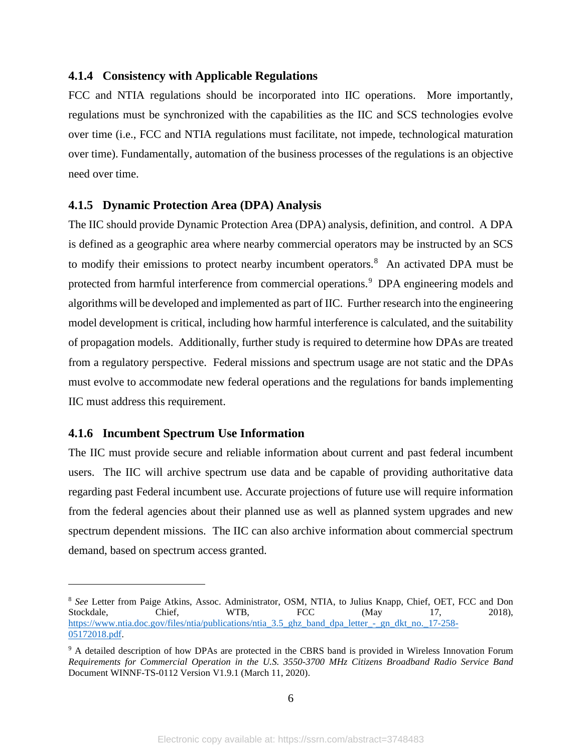#### <span id="page-8-0"></span>**4.1.4 Consistency with Applicable Regulations**

FCC and NTIA regulations should be incorporated into IIC operations. More importantly, regulations must be synchronized with the capabilities as the IIC and SCS technologies evolve over time (i.e., FCC and NTIA regulations must facilitate, not impede, technological maturation over time). Fundamentally, automation of the business processes of the regulations is an objective need over time.

## <span id="page-8-1"></span>**4.1.5 Dynamic Protection Area (DPA) Analysis**

The IIC should provide Dynamic Protection Area (DPA) analysis, definition, and control. A DPA is defined as a geographic area where nearby commercial operators may be instructed by an SCS to modify their emissions to protect nearby incumbent operators.<sup>[8](#page-8-3)</sup> An activated DPA must be protected from harmful interference from commercial operations.<sup>[9](#page-8-4)</sup> DPA engineering models and algorithms will be developed and implemented as part of IIC. Further research into the engineering model development is critical, including how harmful interference is calculated, and the suitability of propagation models. Additionally, further study is required to determine how DPAs are treated from a regulatory perspective. Federal missions and spectrum usage are not static and the DPAs must evolve to accommodate new federal operations and the regulations for bands implementing IIC must address this requirement.

## <span id="page-8-2"></span>**4.1.6 Incumbent Spectrum Use Information**

The IIC must provide secure and reliable information about current and past federal incumbent users. The IIC will archive spectrum use data and be capable of providing authoritative data regarding past Federal incumbent use. Accurate projections of future use will require information from the federal agencies about their planned use as well as planned system upgrades and new spectrum dependent missions. The IIC can also archive information about commercial spectrum demand, based on spectrum access granted.

<span id="page-8-3"></span><sup>&</sup>lt;sup>8</sup> See Letter from Paige Atkins, Assoc. Administrator, OSM, NTIA, to Julius Knapp, Chief, OET, FCC and Don Stockdale. Chief. WTB, FCC (May 17, 2018), Stockdale, Chief, WTB, FCC (May 17, 2018), [https://www.ntia.doc.gov/files/ntia/publications/ntia\\_3.5\\_ghz\\_band\\_dpa\\_letter\\_-\\_gn\\_dkt\\_no.\\_17-258-](https://www.ntia.doc.gov/files/ntia/publications/ntia_3.5_ghz_band_dpa_letter_-_gn_dkt_no._17-258-05172018.pdf) [05172018.pdf.](https://www.ntia.doc.gov/files/ntia/publications/ntia_3.5_ghz_band_dpa_letter_-_gn_dkt_no._17-258-05172018.pdf)

<span id="page-8-4"></span><sup>&</sup>lt;sup>9</sup> A detailed description of how DPAs are protected in the CBRS band is provided in Wireless Innovation Forum *Requirements for Commercial Operation in the U.S. 3550-3700 MHz Citizens Broadband Radio Service Band*  Document WINNF-TS-0112 Version V1.9.1 (March 11, 2020).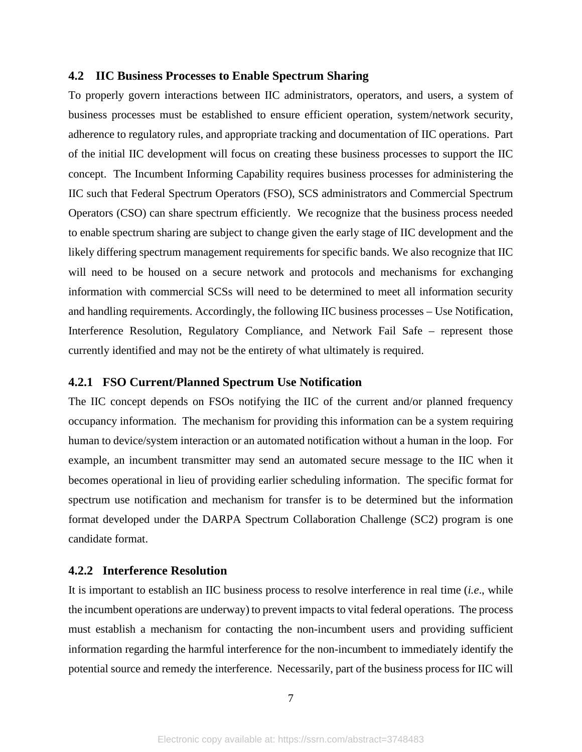#### <span id="page-9-0"></span>**4.2 IIC Business Processes to Enable Spectrum Sharing**

To properly govern interactions between IIC administrators, operators, and users, a system of business processes must be established to ensure efficient operation, system/network security, adherence to regulatory rules, and appropriate tracking and documentation of IIC operations. Part of the initial IIC development will focus on creating these business processes to support the IIC concept. The Incumbent Informing Capability requires business processes for administering the IIC such that Federal Spectrum Operators (FSO), SCS administrators and Commercial Spectrum Operators (CSO) can share spectrum efficiently. We recognize that the business process needed to enable spectrum sharing are subject to change given the early stage of IIC development and the likely differing spectrum management requirements for specific bands. We also recognize that IIC will need to be housed on a secure network and protocols and mechanisms for exchanging information with commercial SCSs will need to be determined to meet all information security and handling requirements. Accordingly, the following IIC business processes – Use Notification, Interference Resolution, Regulatory Compliance, and Network Fail Safe – represent those currently identified and may not be the entirety of what ultimately is required.

## <span id="page-9-1"></span>**4.2.1 FSO Current/Planned Spectrum Use Notification**

The IIC concept depends on FSOs notifying the IIC of the current and/or planned frequency occupancy information. The mechanism for providing this information can be a system requiring human to device/system interaction or an automated notification without a human in the loop. For example, an incumbent transmitter may send an automated secure message to the IIC when it becomes operational in lieu of providing earlier scheduling information. The specific format for spectrum use notification and mechanism for transfer is to be determined but the information format developed under the DARPA Spectrum Collaboration Challenge (SC2) program is one candidate format.

## <span id="page-9-2"></span>**4.2.2 Interference Resolution**

It is important to establish an IIC business process to resolve interference in real time (*i.e*., while the incumbent operations are underway) to prevent impacts to vital federal operations. The process must establish a mechanism for contacting the non-incumbent users and providing sufficient information regarding the harmful interference for the non-incumbent to immediately identify the potential source and remedy the interference. Necessarily, part of the business process for IIC will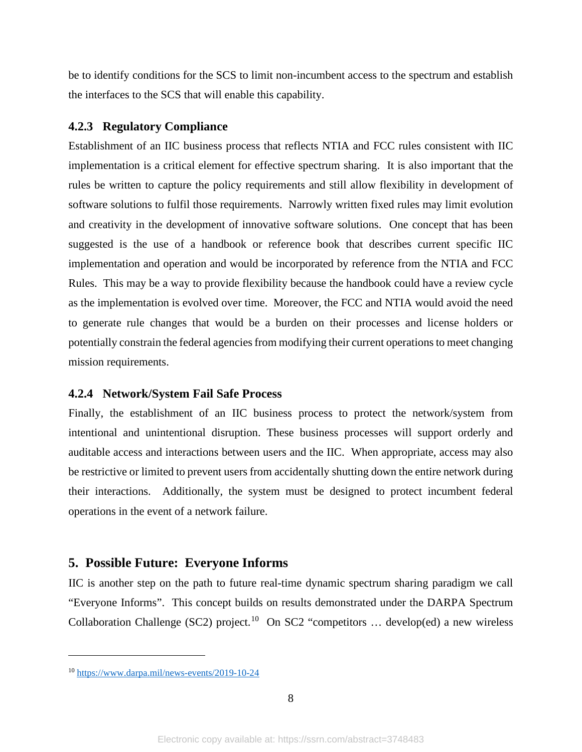be to identify conditions for the SCS to limit non-incumbent access to the spectrum and establish the interfaces to the SCS that will enable this capability.

#### <span id="page-10-0"></span>**4.2.3 Regulatory Compliance**

Establishment of an IIC business process that reflects NTIA and FCC rules consistent with IIC implementation is a critical element for effective spectrum sharing. It is also important that the rules be written to capture the policy requirements and still allow flexibility in development of software solutions to fulfil those requirements. Narrowly written fixed rules may limit evolution and creativity in the development of innovative software solutions. One concept that has been suggested is the use of a handbook or reference book that describes current specific IIC implementation and operation and would be incorporated by reference from the NTIA and FCC Rules. This may be a way to provide flexibility because the handbook could have a review cycle as the implementation is evolved over time. Moreover, the FCC and NTIA would avoid the need to generate rule changes that would be a burden on their processes and license holders or potentially constrain the federal agencies from modifying their current operations to meet changing mission requirements.

#### <span id="page-10-1"></span>**4.2.4 Network/System Fail Safe Process**

Finally, the establishment of an IIC business process to protect the network/system from intentional and unintentional disruption. These business processes will support orderly and auditable access and interactions between users and the IIC. When appropriate, access may also be restrictive or limited to prevent users from accidentally shutting down the entire network during their interactions. Additionally, the system must be designed to protect incumbent federal operations in the event of a network failure.

#### <span id="page-10-2"></span>**5. Possible Future: Everyone Informs**

IIC is another step on the path to future real-time dynamic spectrum sharing paradigm we call "Everyone Informs". This concept builds on results demonstrated under the DARPA Spectrum Collaboration Challenge (SC2) project.<sup>10</sup> On SC2 "competitors ... develop(ed) a new wireless

<span id="page-10-3"></span><sup>10</sup> <https://www.darpa.mil/news-events/2019-10-24>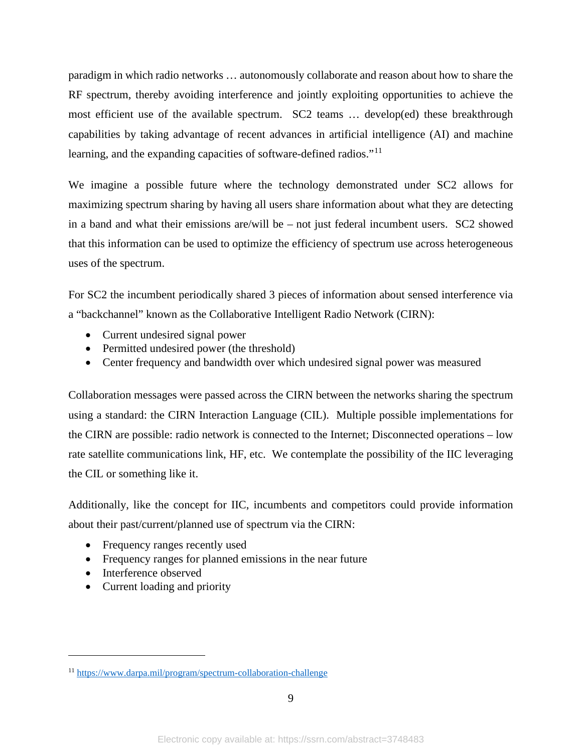paradigm in which radio networks … autonomously collaborate and reason about how to share the RF spectrum, thereby avoiding interference and jointly exploiting opportunities to achieve the most efficient use of the available spectrum. SC2 teams … develop(ed) these breakthrough capabilities by taking advantage of recent advances in artificial intelligence (AI) and machine learning, and the expanding capacities of software-defined radios."<sup>[11](#page-11-0)</sup>

We imagine a possible future where the technology demonstrated under SC2 allows for maximizing spectrum sharing by having all users share information about what they are detecting in a band and what their emissions are/will be – not just federal incumbent users. SC2 showed that this information can be used to optimize the efficiency of spectrum use across heterogeneous uses of the spectrum.

For SC2 the incumbent periodically shared 3 pieces of information about sensed interference via a "backchannel" known as the Collaborative Intelligent Radio Network (CIRN):

- Current undesired signal power
- Permitted undesired power (the threshold)
- Center frequency and bandwidth over which undesired signal power was measured

Collaboration messages were passed across the CIRN between the networks sharing the spectrum using a standard: the CIRN Interaction Language (CIL). Multiple possible implementations for the CIRN are possible: radio network is connected to the Internet; Disconnected operations – low rate satellite communications link, HF, etc. We contemplate the possibility of the IIC leveraging the CIL or something like it.

Additionally, like the concept for IIC, incumbents and competitors could provide information about their past/current/planned use of spectrum via the CIRN:

- Frequency ranges recently used
- Frequency ranges for planned emissions in the near future
- Interference observed
- Current loading and priority

<span id="page-11-0"></span><sup>11</sup> <https://www.darpa.mil/program/spectrum-collaboration-challenge>